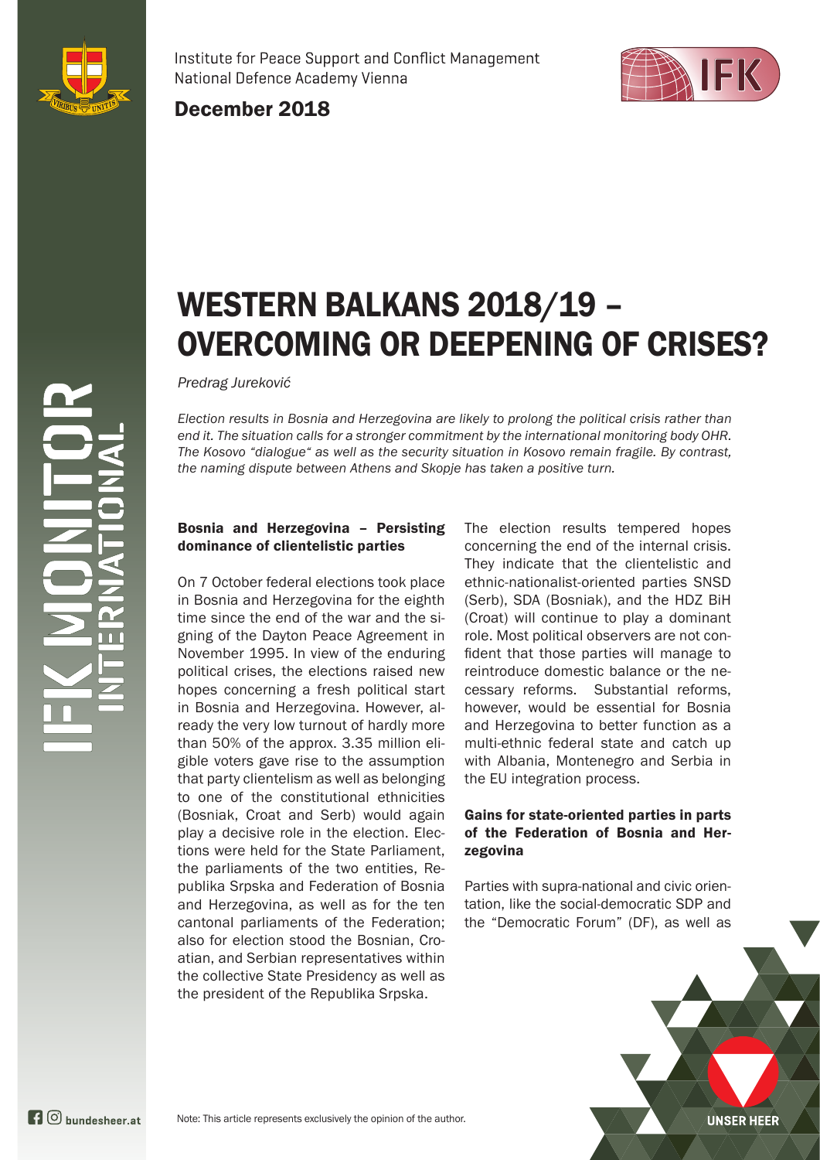

Institute for Peace Support and Conflict Management National Defence Academy Vienna



December 2018

# WESTERN BALKANS 2018/19 – OVERCOMING OR DEEPENING OF CRISES?

*Predrag Jureković*

*Election results in Bosnia and Herzegovina are likely to prolong the political crisis rather than end it. The situation calls for a stronger commitment by the international monitoring body OHR. The Kosovo "dialogue" as well as the security situation in Kosovo remain fragile. By contrast, the naming dispute between Athens and Skopje has taken a positive turn.*

#### Bosnia and Herzegovina – Persisting dominance of clientelistic parties

On 7 October federal elections took place in Bosnia and Herzegovina for the eighth time since the end of the war and the signing of the Dayton Peace Agreement in November 1995. In view of the enduring political crises, the elections raised new hopes concerning a fresh political start in Bosnia and Herzegovina. However, already the very low turnout of hardly more than 50% of the approx. 3.35 million eligible voters gave rise to the assumption that party clientelism as well as belonging to one of the constitutional ethnicities (Bosniak, Croat and Serb) would again play a decisive role in the election. Elections were held for the State Parliament, the parliaments of the two entities, Republika Srpska and Federation of Bosnia and Herzegovina, as well as for the ten cantonal parliaments of the Federation; also for election stood the Bosnian, Croatian, and Serbian representatives within the collective State Presidency as well as the president of the Republika Srpska.

The election results tempered hopes concerning the end of the internal crisis. They indicate that the clientelistic and ethnic-nationalist-oriented parties SNSD (Serb), SDA (Bosniak), and the HDZ BiH (Croat) will continue to play a dominant role. Most political observers are not confident that those parties will manage to reintroduce domestic balance or the necessary reforms. Substantial reforms, however, would be essential for Bosnia and Herzegovina to better function as a multi-ethnic federal state and catch up with Albania, Montenegro and Serbia in the EU integration process.

#### Gains for state-oriented parties in parts of the Federation of Bosnia and Herzegovina

Parties with supra-national and civic orientation, like the social-democratic SDP and the "Democratic Forum" (DF), as well as

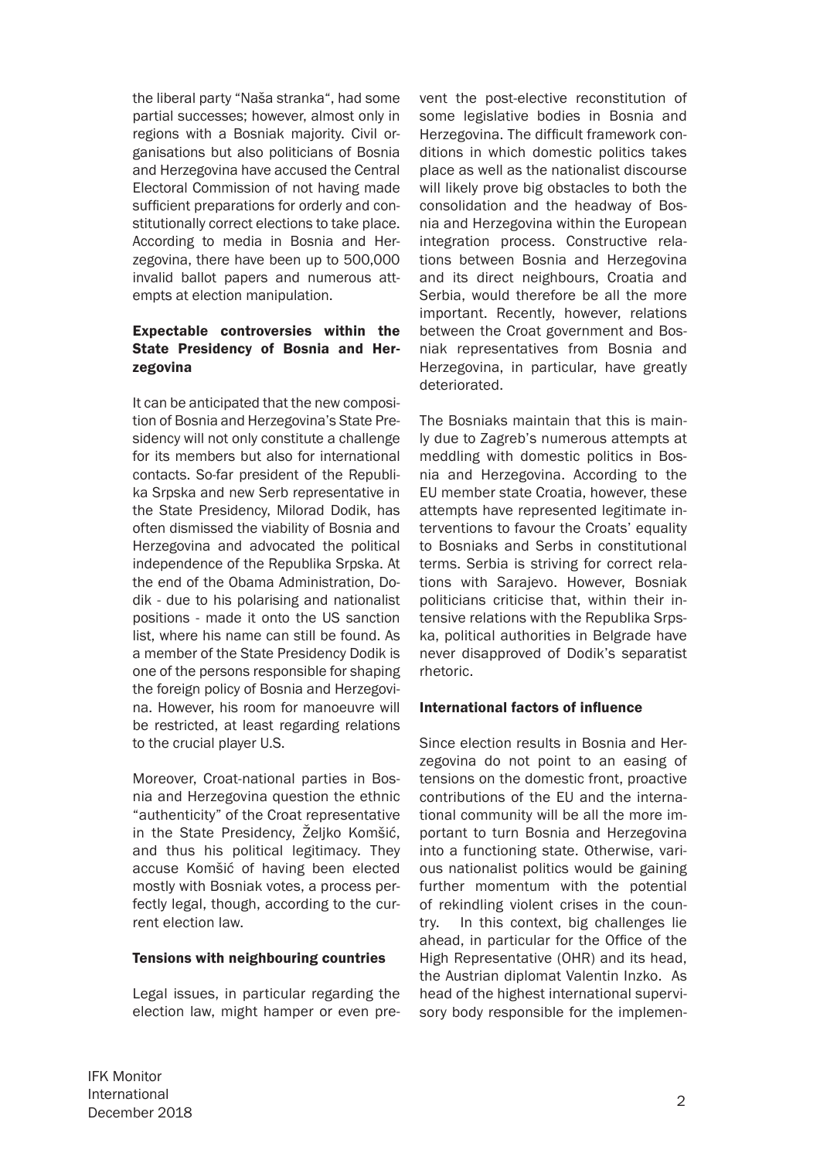the liberal party "Naša stranka", had some partial successes; however, almost only in regions with a Bosniak majority. Civil organisations but also politicians of Bosnia and Herzegovina have accused the Central Electoral Commission of not having made sufficient preparations for orderly and constitutionally correct elections to take place. According to media in Bosnia and Herzegovina, there have been up to 500,000 invalid ballot papers and numerous attempts at election manipulation.

# Expectable controversies within the State Presidency of Bosnia and Herzegovina

It can be anticipated that the new composition of Bosnia and Herzegovina's State Presidency will not only constitute a challenge for its members but also for international contacts. So-far president of the Republika Srpska and new Serb representative in the State Presidency, Milorad Dodik, has often dismissed the viability of Bosnia and Herzegovina and advocated the political independence of the Republika Srpska. At the end of the Obama Administration, Dodik - due to his polarising and nationalist positions - made it onto the US sanction list, where his name can still be found. As a member of the State Presidency Dodik is one of the persons responsible for shaping the foreign policy of Bosnia and Herzegovina. However, his room for manoeuvre will be restricted, at least regarding relations to the crucial player U.S.

Moreover, Croat-national parties in Bosnia and Herzegovina question the ethnic "authenticity" of the Croat representative in the State Presidency, Željko Komšić, and thus his political legitimacy. They accuse Komšić of having been elected mostly with Bosniak votes, a process perfectly legal, though, according to the current election law.

## Tensions with neighbouring countries

Legal issues, in particular regarding the election law, might hamper or even prevent the post-elective reconstitution of some legislative bodies in Bosnia and Herzegovina. The difficult framework conditions in which domestic politics takes place as well as the nationalist discourse will likely prove big obstacles to both the consolidation and the headway of Bosnia and Herzegovina within the European integration process. Constructive relations between Bosnia and Herzegovina and its direct neighbours, Croatia and Serbia, would therefore be all the more important. Recently, however, relations between the Croat government and Bosniak representatives from Bosnia and Herzegovina, in particular, have greatly deteriorated.

The Bosniaks maintain that this is mainly due to Zagreb's numerous attempts at meddling with domestic politics in Bosnia and Herzegovina. According to the EU member state Croatia, however, these attempts have represented legitimate interventions to favour the Croats' equality to Bosniaks and Serbs in constitutional terms. Serbia is striving for correct relations with Sarajevo. However, Bosniak politicians criticise that, within their intensive relations with the Republika Srpska, political authorities in Belgrade have never disapproved of Dodik's separatist rhetoric.

## International factors of influence

Since election results in Bosnia and Herzegovina do not point to an easing of tensions on the domestic front, proactive contributions of the EU and the international community will be all the more important to turn Bosnia and Herzegovina into a functioning state. Otherwise, various nationalist politics would be gaining further momentum with the potential of rekindling violent crises in the country. In this context, big challenges lie ahead, in particular for the Office of the High Representative (OHR) and its head, the Austrian diplomat Valentin Inzko. As head of the highest international supervisory body responsible for the implemen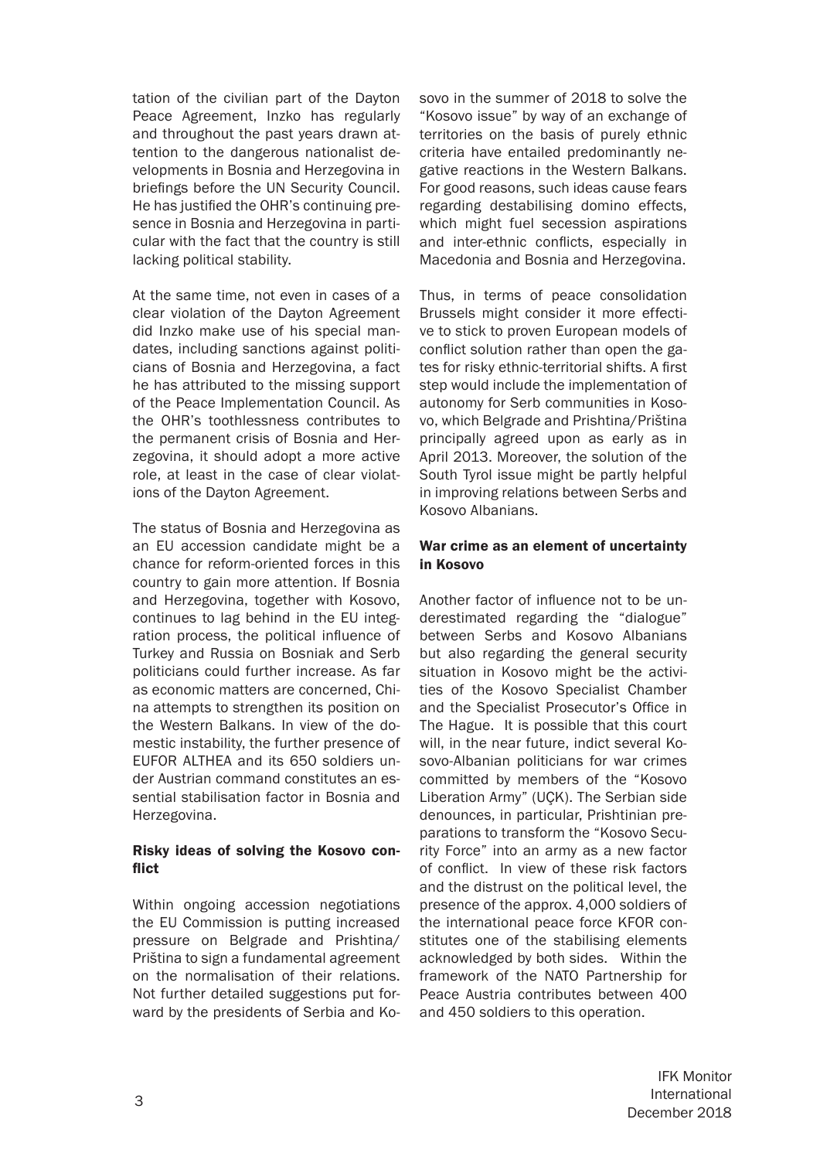tation of the civilian part of the Dayton Peace Agreement, Inzko has regularly and throughout the past years drawn attention to the dangerous nationalist developments in Bosnia and Herzegovina in briefings before the UN Security Council. He has justified the OHR's continuing presence in Bosnia and Herzegovina in particular with the fact that the country is still lacking political stability.

At the same time, not even in cases of a clear violation of the Dayton Agreement did Inzko make use of his special mandates, including sanctions against politicians of Bosnia and Herzegovina, a fact he has attributed to the missing support of the Peace Implementation Council. As the OHR's toothlessness contributes to the permanent crisis of Bosnia and Herzegovina, it should adopt a more active role, at least in the case of clear violations of the Dayton Agreement.

The status of Bosnia and Herzegovina as an EU accession candidate might be a chance for reform-oriented forces in this country to gain more attention. If Bosnia and Herzegovina, together with Kosovo, continues to lag behind in the EU integration process, the political influence of Turkey and Russia on Bosniak and Serb politicians could further increase. As far as economic matters are concerned, China attempts to strengthen its position on the Western Balkans. In view of the domestic instability, the further presence of EUFOR ALTHEA and its 650 soldiers under Austrian command constitutes an essential stabilisation factor in Bosnia and Herzegovina.

## Risky ideas of solving the Kosovo conflict

Within ongoing accession negotiations the EU Commission is putting increased pressure on Belgrade and Prishtina/ Priština to sign a fundamental agreement on the normalisation of their relations. Not further detailed suggestions put forward by the presidents of Serbia and Kosovo in the summer of 2018 to solve the "Kosovo issue" by way of an exchange of territories on the basis of purely ethnic criteria have entailed predominantly negative reactions in the Western Balkans. For good reasons, such ideas cause fears regarding destabilising domino effects, which might fuel secession aspirations and inter-ethnic conflicts, especially in Macedonia and Bosnia and Herzegovina.

Thus, in terms of peace consolidation Brussels might consider it more effective to stick to proven European models of conflict solution rather than open the gates for risky ethnic-territorial shifts. A first step would include the implementation of autonomy for Serb communities in Kosovo, which Belgrade and Prishtina/Priština principally agreed upon as early as in April 2013. Moreover, the solution of the South Tyrol issue might be partly helpful in improving relations between Serbs and Kosovo Albanians.

#### War crime as an element of uncertainty in Kosovo

Another factor of influence not to be underestimated regarding the "dialogue" between Serbs and Kosovo Albanians but also regarding the general security situation in Kosovo might be the activities of the Kosovo Specialist Chamber and the Specialist Prosecutor's Office in The Hague. It is possible that this court will, in the near future, indict several Kosovo-Albanian politicians for war crimes committed by members of the "Kosovo Liberation Army" (UÇK). The Serbian side denounces, in particular, Prishtinian preparations to transform the "Kosovo Security Force" into an army as a new factor of conflict. In view of these risk factors and the distrust on the political level, the presence of the approx. 4,000 soldiers of the international peace force KFOR constitutes one of the stabilising elements acknowledged by both sides. Within the framework of the NATO Partnership for Peace Austria contributes between 400 and 450 soldiers to this operation.